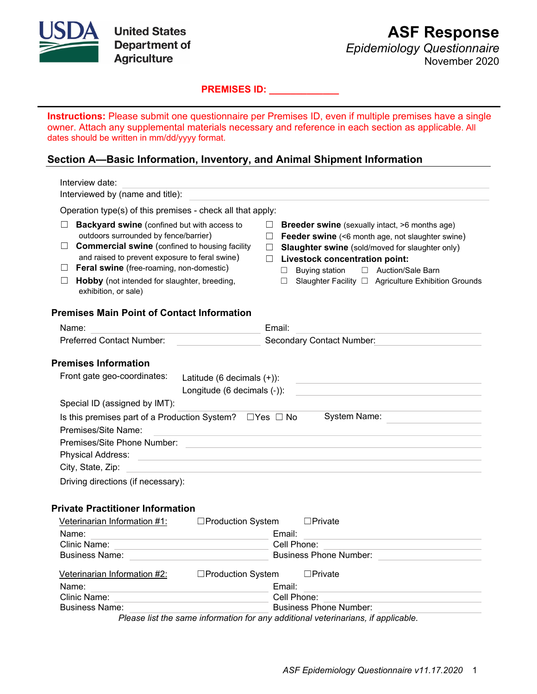

*Epidemiology Questionnaire* November 2020

**PREMISES ID: \_\_\_\_\_\_\_\_\_\_\_\_\_**

**Instructions:** Please submit one questionnaire per Premises ID, even if multiple premises have a single owner. Attach any supplemental materials necessary and reference in each section as applicable. All dates should be written in mm/dd/yyyy format.

## **Section A—Basic Information, Inventory, and Animal Shipment Information**

|   | Interview date:                                                                                                                                                                                                                                                                                                                             |                                                           |        |                                                                                                                                                                                                                                                                                                                                                         |                                                                                                                                                                                                                                                                                           |  |  |
|---|---------------------------------------------------------------------------------------------------------------------------------------------------------------------------------------------------------------------------------------------------------------------------------------------------------------------------------------------|-----------------------------------------------------------|--------|---------------------------------------------------------------------------------------------------------------------------------------------------------------------------------------------------------------------------------------------------------------------------------------------------------------------------------------------------------|-------------------------------------------------------------------------------------------------------------------------------------------------------------------------------------------------------------------------------------------------------------------------------------------|--|--|
|   | Interviewed by (name and title):                                                                                                                                                                                                                                                                                                            |                                                           |        |                                                                                                                                                                                                                                                                                                                                                         |                                                                                                                                                                                                                                                                                           |  |  |
|   | Operation type(s) of this premises - check all that apply:                                                                                                                                                                                                                                                                                  |                                                           |        |                                                                                                                                                                                                                                                                                                                                                         |                                                                                                                                                                                                                                                                                           |  |  |
| Ш | <b>Backyard swine</b> (confined but with access to<br>$\Box$<br>outdoors surrounded by fence/barrier)<br>$\Box$ Commercial swine (confined to housing facility<br>and raised to prevent exposure to feral swine)<br>$\Box$ Feral swine (free-roaming, non-domestic)<br>Hobby (not intended for slaughter, breeding,<br>exhibition, or sale) |                                                           |        | $\Box$ Breeder swine (sexually intact, >6 months age)<br>$\Box$ Feeder swine (<6 month age, not slaughter swine)<br><b>Slaughter swine</b> (sold/moved for slaughter only)<br>$\Box$<br><b>Livestock concentration point:</b><br>П.<br>Buying station<br>□ Auction/Sale Barn<br>$\Box$<br>Slaughter Facility □ Agriculture Exhibition Grounds<br>$\Box$ |                                                                                                                                                                                                                                                                                           |  |  |
|   | <b>Premises Main Point of Contact Information</b>                                                                                                                                                                                                                                                                                           |                                                           |        |                                                                                                                                                                                                                                                                                                                                                         |                                                                                                                                                                                                                                                                                           |  |  |
|   | Name:                                                                                                                                                                                                                                                                                                                                       |                                                           | Email: |                                                                                                                                                                                                                                                                                                                                                         |                                                                                                                                                                                                                                                                                           |  |  |
|   | Preferred Contact Number:                                                                                                                                                                                                                                                                                                                   |                                                           |        |                                                                                                                                                                                                                                                                                                                                                         | Secondary Contact Number: Secondary Contact Number:                                                                                                                                                                                                                                       |  |  |
|   | <b>Premises Information</b><br>Front gate geo-coordinates:<br>Special ID (assigned by IMT):<br>Is this premises part of a Production System? $\Box$ Yes $\Box$ No<br>Premises/Site Name:                                                                                                                                                    | Latitude (6 decimals (+)):<br>Longitude (6 decimals (-)): |        |                                                                                                                                                                                                                                                                                                                                                         | <u> 1980 - Johann Barbara, martxa alemaniar arg</u><br>the control of the control of the control of the control of the control of the control of<br>System Name:<br><u> 1980 - Andrea Station Barbara, actor a contrador de la contrador de la contrador de la contrador de la contra</u> |  |  |
|   |                                                                                                                                                                                                                                                                                                                                             |                                                           |        |                                                                                                                                                                                                                                                                                                                                                         |                                                                                                                                                                                                                                                                                           |  |  |
|   | Physical Address:                                                                                                                                                                                                                                                                                                                           |                                                           |        |                                                                                                                                                                                                                                                                                                                                                         | <u> Alexandria de la contrada de la contrada de la contrada de la contrada de la contrada de la contrada de la c</u>                                                                                                                                                                      |  |  |
|   | City, State, Zip:                                                                                                                                                                                                                                                                                                                           |                                                           |        |                                                                                                                                                                                                                                                                                                                                                         |                                                                                                                                                                                                                                                                                           |  |  |
|   | Driving directions (if necessary):                                                                                                                                                                                                                                                                                                          |                                                           |        |                                                                                                                                                                                                                                                                                                                                                         |                                                                                                                                                                                                                                                                                           |  |  |
|   | <b>Private Practitioner Information</b><br>Veterinarian Information #1:<br>Name:<br><u> 1980 - Andrea Station, amerikansk politik (* 1908)</u>                                                                                                                                                                                              | □Production System                                        |        | Email:                                                                                                                                                                                                                                                                                                                                                  | $\square$ Private<br>the control of the control of the control of the control of the control of                                                                                                                                                                                           |  |  |
|   | Clinic Name:<br><u> 1989 - Johann Barbara, martxa alemaniar a</u>                                                                                                                                                                                                                                                                           |                                                           |        |                                                                                                                                                                                                                                                                                                                                                         | Cell Phone:                                                                                                                                                                                                                                                                               |  |  |
|   | Business Name: <u>_______________________________</u>                                                                                                                                                                                                                                                                                       |                                                           |        |                                                                                                                                                                                                                                                                                                                                                         |                                                                                                                                                                                                                                                                                           |  |  |
|   | Veterinarian Information #2:                                                                                                                                                                                                                                                                                                                | $\Box$ Production System                                  |        |                                                                                                                                                                                                                                                                                                                                                         | $\square$ Private                                                                                                                                                                                                                                                                         |  |  |
|   | Name:                                                                                                                                                                                                                                                                                                                                       |                                                           |        | Email:                                                                                                                                                                                                                                                                                                                                                  | <u> 1980 - Johann Barbara, martxa alemaniar a</u>                                                                                                                                                                                                                                         |  |  |
|   | Clinic Name:                                                                                                                                                                                                                                                                                                                                |                                                           |        |                                                                                                                                                                                                                                                                                                                                                         | Cell Phone:                                                                                                                                                                                                                                                                               |  |  |
|   | <b>Business Name:</b>                                                                                                                                                                                                                                                                                                                       |                                                           |        |                                                                                                                                                                                                                                                                                                                                                         | <b>Business Phone Number:</b>                                                                                                                                                                                                                                                             |  |  |
|   |                                                                                                                                                                                                                                                                                                                                             |                                                           |        |                                                                                                                                                                                                                                                                                                                                                         | Please list the same information for any additional veterinarians, if applicable.                                                                                                                                                                                                         |  |  |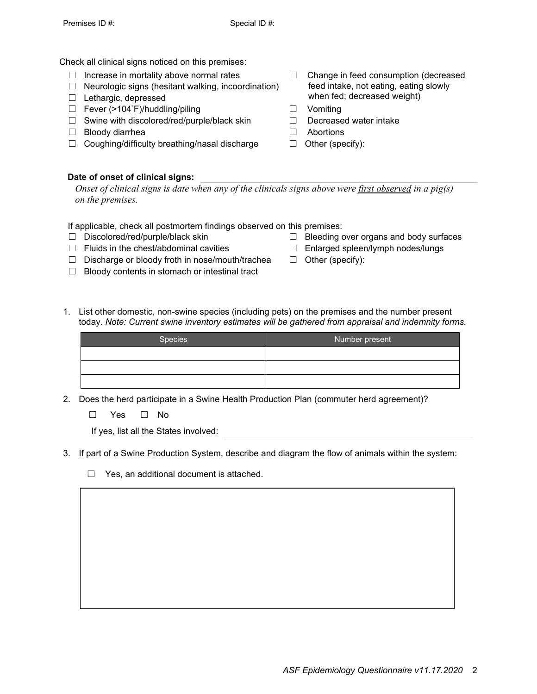Check all clinical signs noticed on this premises:

- $\Box$  Increase in mortality above normal rates
- $\Box$  Neurologic signs (hesitant walking, incoordination)
- ☐ Lethargic, depressed
- □ Fever (>104°F)/huddling/piling □ Vomiting
- ☐ Swine with discolored/red/purple/black skin ☐ Decreased water intake
- ☐ Bloody diarrhea ☐ Abortions
- ☐ Coughing/difficulty breathing/nasal discharge ☐ Other (specify):
- **Date of onset of clinical signs:**

 *Onset of clinical signs is date when any of the clinicals signs above were first observed in a pig(s) on the premises.*

If applicable, check all postmortem findings observed on this premises:

- 
- ☐ Fluids in the chest/abdominal cavities ☐ Enlarged spleen/lymph nodes/lungs
- ☐ Discharge or bloody froth in nose/mouth/trachea ☐ Other (specify):
- ☐ Bloody contents in stomach or intestinal tract
- ☐ Change in feed consumption (decreased feed intake, not eating, eating slowly when fed; decreased weight)
- 
- 
- 
- 

☐ Discolored/red/purple/black skin ☐ Bleeding over organs and body surfaces

- 
- 
- 1. List other domestic, non-swine species (including pets) on the premises and the number present today. *Note: Current swine inventory estimates will be gathered from appraisal and indemnity forms.*

| Species | Number present |
|---------|----------------|
|         |                |
|         |                |
|         |                |

2. Does the herd participate in a Swine Health Production Plan (commuter herd agreement)?

☐ Yes ☐ No

If yes, list all the States involved:

- 3. If part of a Swine Production System, describe and diagram the flow of animals within the system:
	- ☐ Yes, an additional document is attached.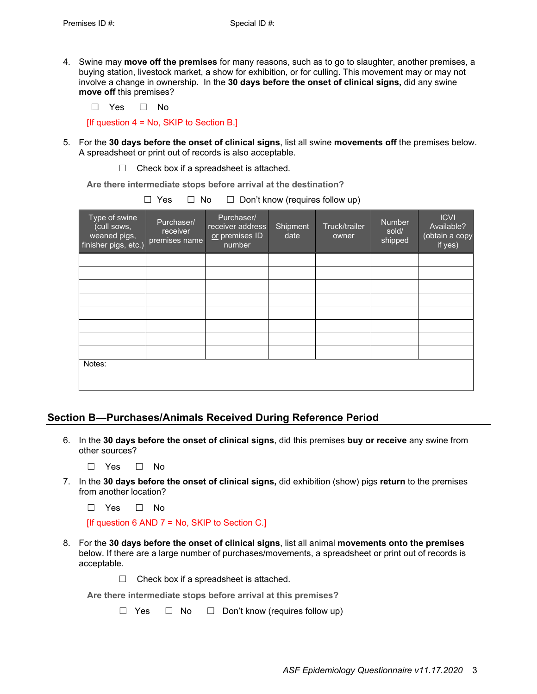4. Swine may **move off the premises** for many reasons, such as to go to slaughter, another premises, a buying station, livestock market, a show for exhibition, or for culling. This movement may or may not involve a change in ownership. In the **30 days before the onset of clinical signs,** did any swine **move off** this premises?

☐ Yes ☐ No

[If question  $4 = No$ , SKIP to Section B.]

- 5. For the **30 days before the onset of clinical signs**, list all swine **movements off** the premises below. A spreadsheet or print out of records is also acceptable.
	- $\Box$  Check box if a spreadsheet is attached.

**Are there intermediate stops before arrival at the destination?**

| Type of swine<br>(cull sows,<br>weaned pigs,<br>finisher pigs, etc.) | Purchaser/<br>receiver<br>premises name | Purchaser/<br>receiver address<br>or premises ID<br>number | Shipment<br>date | Truck/trailer<br>owner | <b>Number</b><br>sold/<br>shipped | <b>ICVI</b><br>Available?<br>(obtain a copy<br>if yes) |
|----------------------------------------------------------------------|-----------------------------------------|------------------------------------------------------------|------------------|------------------------|-----------------------------------|--------------------------------------------------------|
|                                                                      |                                         |                                                            |                  |                        |                                   |                                                        |
|                                                                      |                                         |                                                            |                  |                        |                                   |                                                        |
|                                                                      |                                         |                                                            |                  |                        |                                   |                                                        |
|                                                                      |                                         |                                                            |                  |                        |                                   |                                                        |
|                                                                      |                                         |                                                            |                  |                        |                                   |                                                        |
|                                                                      |                                         |                                                            |                  |                        |                                   |                                                        |
|                                                                      |                                         |                                                            |                  |                        |                                   |                                                        |
|                                                                      |                                         |                                                            |                  |                        |                                   |                                                        |
| Notes:                                                               |                                         |                                                            |                  |                        |                                   |                                                        |
|                                                                      |                                         |                                                            |                  |                        |                                   |                                                        |

☐ Yes ☐ No ☐ Don't know (requires follow up)

## **Section B—Purchases/Animals Received During Reference Period**

6. In the **30 days before the onset of clinical signs**, did this premises **buy or receive** any swine from other sources?

☐ Yes ☐ No

7. In the **30 days before the onset of clinical signs,** did exhibition (show) pigs **return** to the premises from another location?

☐ Yes ☐ No

[If question 6 AND  $7 = No$ , SKIP to Section C.]

- 8. For the **30 days before the onset of clinical signs**, list all animal **movements onto the premises** below. If there are a large number of purchases/movements, a spreadsheet or print out of records is acceptable.
	- $\Box$  Check box if a spreadsheet is attached.

**Are there intermediate stops before arrival at this premises?**

☐ Yes ☐ No ☐ Don't know (requires follow up)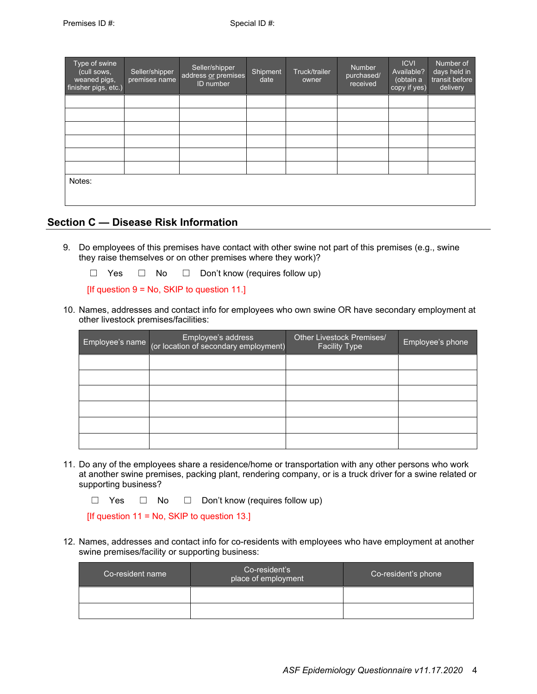| Type of swine<br>(cull sows,<br>weaned pigs,<br>finisher pigs, etc.) | Seller/shipper<br>premises name | Seller/shipper<br>address or premises<br>ID number | Shipment<br>date | Truck/trailer<br>owner | Number<br>purchased/<br>received | <b>ICVI</b><br>Available?<br>(obtain a<br>copy if yes) | Number of<br>days held in<br>transit before<br>delivery |
|----------------------------------------------------------------------|---------------------------------|----------------------------------------------------|------------------|------------------------|----------------------------------|--------------------------------------------------------|---------------------------------------------------------|
|                                                                      |                                 |                                                    |                  |                        |                                  |                                                        |                                                         |
|                                                                      |                                 |                                                    |                  |                        |                                  |                                                        |                                                         |
|                                                                      |                                 |                                                    |                  |                        |                                  |                                                        |                                                         |
|                                                                      |                                 |                                                    |                  |                        |                                  |                                                        |                                                         |
|                                                                      |                                 |                                                    |                  |                        |                                  |                                                        |                                                         |
|                                                                      |                                 |                                                    |                  |                        |                                  |                                                        |                                                         |
| Notes:                                                               |                                 |                                                    |                  |                        |                                  |                                                        |                                                         |

### **Section C — Disease Risk Information**

9. Do employees of this premises have contact with other swine not part of this premises (e.g., swine they raise themselves or on other premises where they work)?

☐ Yes ☐ No ☐ Don't know (requires follow up)

[If question  $9 = No$ , SKIP to question 11.]

10. Names, addresses and contact info for employees who own swine OR have secondary employment at other livestock premises/facilities:

| Employee's address<br>Employee's name (or location of secondary employment) | <b>Other Livestock Premises/</b><br><b>Facility Type</b> | Employee's phone |
|-----------------------------------------------------------------------------|----------------------------------------------------------|------------------|
|                                                                             |                                                          |                  |
|                                                                             |                                                          |                  |
|                                                                             |                                                          |                  |
|                                                                             |                                                          |                  |
|                                                                             |                                                          |                  |
|                                                                             |                                                          |                  |

11. Do any of the employees share a residence/home or transportation with any other persons who work at another swine premises, packing plant, rendering company, or is a truck driver for a swine related or supporting business?

☐ Yes ☐ No ☐ Don't know (requires follow up)

 $[$ If question 11 = No, SKIP to question 13.]

12. Names, addresses and contact info for co-residents with employees who have employment at another swine premises/facility or supporting business:

| Co-resident name | Co-resident's<br>place of employment | Co-resident's phone |
|------------------|--------------------------------------|---------------------|
|                  |                                      |                     |
|                  |                                      |                     |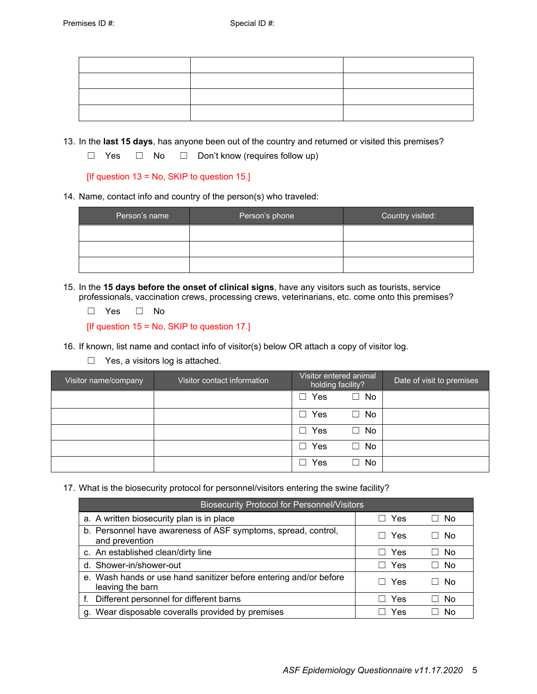13. In the **last 15 days**, has anyone been out of the country and returned or visited this premises?

☐ Yes ☐ No ☐ Don't know (requires follow up)

[If question 13 = No, SKIP to question 15.]

14. Name, contact info and country of the person(s) who traveled:

| Person's name | Person's phone | Country visited: |
|---------------|----------------|------------------|
|               |                |                  |
|               |                |                  |
|               |                |                  |

15. In the **15 days before the onset of clinical signs**, have any visitors such as tourists, service professionals, vaccination crews, processing crews, veterinarians, etc. come onto this premises?

☐ Yes ☐ No

[If question 15 = No, SKIP to question 17.]

- 16. If known, list name and contact info of visitor(s) below OR attach a copy of visitor log.
	- □ Yes, a visitors log is attached.

| Visitor name/company | Visitor contact information | Visitor entered animal<br>holding facility? |         | Date of visit to premises |
|----------------------|-----------------------------|---------------------------------------------|---------|---------------------------|
|                      |                             | Yes<br>$\blacksquare$                       | No<br>┐ |                           |
|                      |                             | Yes<br>$\mathbf{I}$                         | No<br>┓ |                           |
|                      |                             | Yes<br>$\blacksquare$                       | No<br>٦ |                           |
|                      |                             | Yes<br>$\blacksquare$                       | No<br>┓ |                           |
|                      |                             | Yes                                         | No<br>┓ |                           |

17. What is the biosecurity protocol for personnel/visitors entering the swine facility?

| <b>Biosecurity Protocol for Personnel/Visitors</b>                                    |     |     |  |  |  |
|---------------------------------------------------------------------------------------|-----|-----|--|--|--|
| a. A written biosecurity plan is in place                                             | Yes | No. |  |  |  |
| b. Personnel have awareness of ASF symptoms, spread, control,<br>and prevention       | Yes | No  |  |  |  |
| c. An established clean/dirty line                                                    | Yes | No. |  |  |  |
| d. Shower-in/shower-out                                                               | Yes | No. |  |  |  |
| e. Wash hands or use hand sanitizer before entering and/or before<br>leaving the barn | Yes | No  |  |  |  |
| Different personnel for different barns                                               | Yes | No  |  |  |  |
| g. Wear disposable coveralls provided by premises                                     | Yes | N٥  |  |  |  |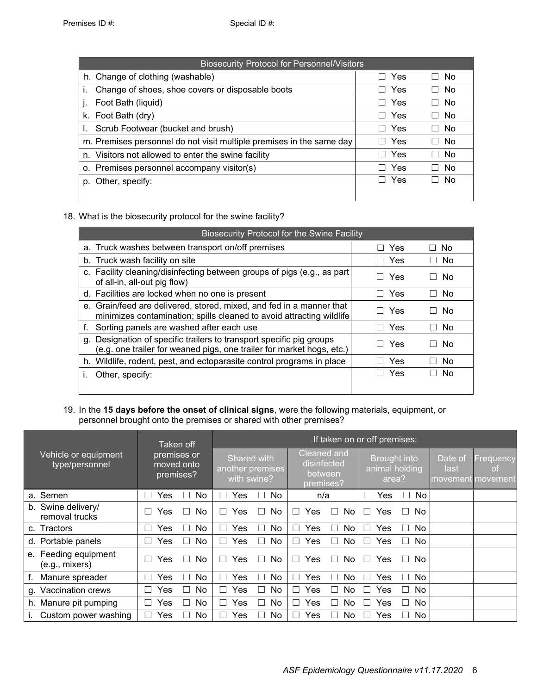| <b>Biosecurity Protocol for Personnel/Visitors</b>                   |                       |      |  |  |  |
|----------------------------------------------------------------------|-----------------------|------|--|--|--|
| h. Change of clothing (washable)                                     | □ Yes                 | No   |  |  |  |
| Change of shoes, shoe covers or disposable boots                     | Yes<br>$\Box$         | No   |  |  |  |
| Foot Bath (liquid)                                                   | Yes<br>H              | No   |  |  |  |
| k. Foot Bath (dry)                                                   | Yes<br>H              | No   |  |  |  |
| Scrub Footwear (bucket and brush)                                    | Yes<br>$\mathbf{I}$   | No.  |  |  |  |
| m. Premises personnel do not visit multiple premises in the same day | $\Box$ Yes            | No   |  |  |  |
| n. Visitors not allowed to enter the swine facility                  | Yes<br>$\blacksquare$ | No   |  |  |  |
| o. Premises personnel accompany visitor(s)                           | Yes<br>$\Box$         | - No |  |  |  |
| p. Other, specify:                                                   | Yes                   | No.  |  |  |  |
|                                                                      |                       |      |  |  |  |

18. What is the biosecurity protocol for the swine facility?

| <b>Biosecurity Protocol for the Swine Facility</b>                                                                                            |                       |                     |
|-----------------------------------------------------------------------------------------------------------------------------------------------|-----------------------|---------------------|
| a. Truck washes between transport on/off premises                                                                                             | Yes                   | No.<br>$\mathsf{L}$ |
| b. Truck wash facility on site                                                                                                                | Yes                   | No                  |
| c. Facility cleaning/disinfecting between groups of pigs (e.g., as part<br>of all-in, all-out pig flow)                                       | Yes<br>$\blacksquare$ | No.                 |
| d. Facilities are locked when no one is present                                                                                               | □ Yes                 | No.<br>$\mathsf{L}$ |
| e. Grain/feed are delivered, stored, mixed, and fed in a manner that<br>minimizes contamination; spills cleaned to avoid attracting wildlife  | Yes                   | No.                 |
| Sorting panels are washed after each use                                                                                                      | Yes                   | No.                 |
| g. Designation of specific trailers to transport specific pig groups<br>(e.g. one trailer for weaned pigs, one trailer for market hogs, etc.) | Yes                   | Nο                  |
| h. Wildlife, rodent, pest, and ectoparasite control programs in place                                                                         | Yes                   | No.                 |
| Other, specify:<br>Ĺ.                                                                                                                         | Yes                   | No.                 |
|                                                                                                                                               |                       |                     |

#### 19. In the **15 days before the onset of clinical signs**, were the following materials, equipment, or personnel brought onto the premises or shared with other premises?

|                                             | Taken off                                    | If taken on or off premises:                   |                                                           |                                                       |                                                                |  |  |
|---------------------------------------------|----------------------------------------------|------------------------------------------------|-----------------------------------------------------------|-------------------------------------------------------|----------------------------------------------------------------|--|--|
| Vehicle or equipment<br>type/personnel      | premises or<br>moved onto<br>premises?       | Shared with<br>another premises<br>with swine? | <b>Cleaned and</b><br>disinfected<br>between<br>premises? | <b>Brought into</b><br>animal holding<br>area?        | Date of<br>Frequency<br>last<br><b>of</b><br>movement movement |  |  |
| a. Semen                                    | No<br>Yes                                    | No<br>Yes<br>×.                                | n/a                                                       | Г<br>No.<br>Yes<br>$\blacksquare$                     |                                                                |  |  |
| b. Swine delivery/<br>removal trucks        | No<br>Yes<br>$\overline{\phantom{0}}$        | No.<br>Yes<br>$\mathbf{I}$                     | Yes<br>No<br>П<br>$\overline{\phantom{a}}$                | Yes<br>No.<br>$\blacksquare$                          |                                                                |  |  |
| c. Tractors                                 | No<br>Yes                                    | No<br>Yes                                      | Yes<br>No<br>□<br>□                                       | Yes<br>No<br>$\overline{\phantom{a}}$                 |                                                                |  |  |
| d. Portable panels                          | <b>No</b><br>Yes<br>$\overline{\phantom{0}}$ | Yes<br>No.<br>×.                               | No.<br><b>Yes</b><br>П<br>П                               | No<br>Yes<br>$\overline{\phantom{a}}$<br>$\mathsf{L}$ |                                                                |  |  |
| Feeding equipment<br>е.<br>$(e.g.,$ mixers) | <b>No</b><br>Yes                             | No<br>Yes                                      | No<br>П<br>Yes<br>٦                                       | Yes<br>No.<br>┓                                       |                                                                |  |  |
| Manure spreader                             | No<br>Yes                                    | Yes<br>No.                                     | No.<br><b>Yes</b><br>П<br>$\mathsf{L}$                    | No.<br>Yes<br>- 1                                     |                                                                |  |  |
| Vaccination crews<br>q.                     | No<br>Yes                                    | No<br>Yes                                      | No<br>Yes<br>П<br>$\Box$                                  | Yes<br>No.<br>- 1                                     |                                                                |  |  |
| h. Manure pit pumping                       | No<br>Yes                                    | No<br>Yes                                      | No<br>Yes<br>П<br>$\Box$                                  | No<br>Yes<br>- 1                                      |                                                                |  |  |
| Custom power washing                        | No<br>Yes<br>$\blacksquare$                  | No.<br>Yes                                     | No.<br>Yes<br>n l<br>$\perp$                              | No<br>Yes                                             |                                                                |  |  |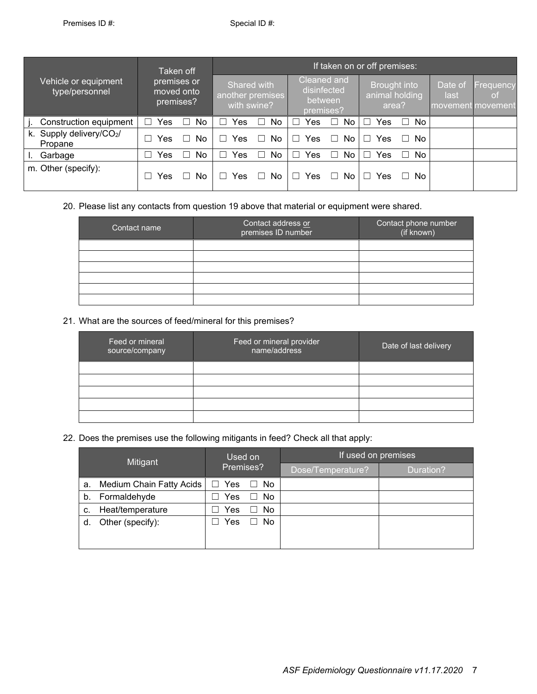|                                        | Taken off                              | If taken on or off premises:                   |                                                       |                                                |                                                         |  |  |
|----------------------------------------|----------------------------------------|------------------------------------------------|-------------------------------------------------------|------------------------------------------------|---------------------------------------------------------|--|--|
| Vehicle or equipment<br>type/personnel | premises or<br>moved onto<br>premises? | Shared with<br>another premises<br>with swine? | Cleaned and<br>disinfected<br>between<br>premises?    | <b>Brought into</b><br>animal holding<br>area? | Date of<br>Frequency<br>last<br>οf<br>movement movement |  |  |
| Construction equipment                 | <b>No</b><br>Yes                       | Yes<br>No.                                     | No.<br>Yes<br>П<br>П                                  | No.<br>Yes                                     |                                                         |  |  |
| k. Supply delivery/CO2/<br>Propane     | No<br>Yes                              | Yes<br>No.<br>$\blacksquare$                   | No<br>Yes<br>$\overline{\phantom{a}}$<br>$\mathbf{I}$ | No.<br>Yes                                     |                                                         |  |  |
| Garbage                                | No<br>Yes                              | No.<br>Yes                                     | No<br>Yes<br>$\Box$<br>$\vert \ \ \vert$              | No.<br>Yes<br>- 1                              |                                                         |  |  |
| m. Other (specify):                    | No<br>Yes                              | Yes<br>No.                                     | No<br>Yes<br>- 1                                      | No.<br>Yes                                     |                                                         |  |  |

#### 20. Please list any contacts from question 19 above that material or equipment were shared.

| Contact name | Contact address or<br>premises ID number | Contact phone number<br>(if known) |
|--------------|------------------------------------------|------------------------------------|
|              |                                          |                                    |
|              |                                          |                                    |
|              |                                          |                                    |
|              |                                          |                                    |
|              |                                          |                                    |
|              |                                          |                                    |

## 21. What are the sources of feed/mineral for this premises?

| Feed or mineral<br>source/company | Feed or mineral provider<br>name/address | Date of last delivery |
|-----------------------------------|------------------------------------------|-----------------------|
|                                   |                                          |                       |
|                                   |                                          |                       |
|                                   |                                          |                       |
|                                   |                                          |                       |
|                                   |                                          |                       |

22. Does the premises use the following mitigants in feed? Check all that apply:

| Mitigant |                          | Used on<br>Premises? |    | If used on premises |           |  |
|----------|--------------------------|----------------------|----|---------------------|-----------|--|
|          |                          |                      |    | Dose/Temperature?   | Duration? |  |
| а.       | Medium Chain Fatty Acids | $\Box$ Yes           | No |                     |           |  |
| b.       | Formaldehyde             | Yes                  | No |                     |           |  |
| c.       | Heat/temperature         | Yes                  | No |                     |           |  |
| d.       | Other (specify):         | Yes                  | No |                     |           |  |
|          |                          |                      |    |                     |           |  |
|          |                          |                      |    |                     |           |  |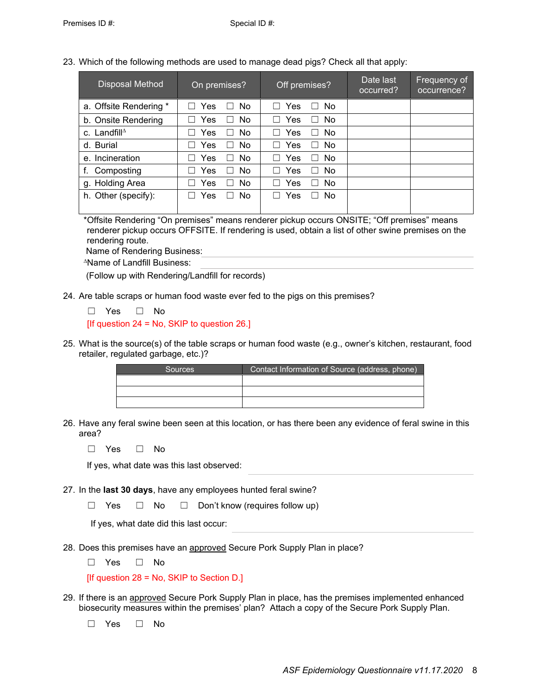23. Which of the following methods are used to manage dead pigs? Check all that apply:

| Disposal Method         | On premises?                       | Off premises?                             | Date last<br>occurred? | Frequency of<br>occurrence? |
|-------------------------|------------------------------------|-------------------------------------------|------------------------|-----------------------------|
| a. Offsite Rendering *  | Yes<br>$\Box$ No<br>$\blacksquare$ | $\Box$ Yes<br>$\Box$ No                   |                        |                             |
| b. Onsite Rendering     | Yes<br>No.<br>П                    | Yes<br>No.<br>$\vert \ \ \vert$<br>$\Box$ |                        |                             |
| c. Landfill $\triangle$ | Yes<br>$\Box$ No                   | Yes<br>$\Box$ No<br>$\Box$                |                        |                             |
| d. Burial               | Yes<br>No.<br>П                    | <b>No</b><br>Yes<br>П<br>$\Box$           |                        |                             |
| e. Incineration         | Yes<br>No.<br>П                    | Yes<br>No<br>П<br>$\Box$                  |                        |                             |
| f. Composting           | Yes<br>No.<br>$\Box$               | Yes<br>No<br>П                            |                        |                             |
| g. Holding Area         | Yes<br>No<br>$\perp$               | Yes<br>No.<br>$\vert \ \ \vert$           |                        |                             |
| h. Other (specify):     | Yes<br>No.<br>$\perp$              | Yes<br>No.<br>L.                          |                        |                             |

\*Offsite Rendering "On premises" means renderer pickup occurs ONSITE; "Off premises" means renderer pickup occurs OFFSITE. If rendering is used, obtain a list of other swine premises on the rendering route.

Name of Rendering Business:

<sup>∆</sup>Name of Landfill Business:

(Follow up with Rendering/Landfill for records)

24. Are table scraps or human food waste ever fed to the pigs on this premises?

☐ Yes ☐ No  $[$ If question 24 = No, SKIP to question 26.]

25. What is the source(s) of the table scraps or human food waste (e.g., owner's kitchen, restaurant, food retailer, regulated garbage, etc.)?

| <b>Sources</b> | Contact Information of Source (address, phone) |
|----------------|------------------------------------------------|
|                |                                                |
|                |                                                |
|                |                                                |

26. Have any feral swine been seen at this location, or has there been any evidence of feral swine in this area?

☐ Yes ☐ No

If yes, what date was this last observed:

27. In the **last 30 days**, have any employees hunted feral swine?

☐ Yes ☐ No ☐ Don't know (requires follow up)

If yes, what date did this last occur:

28. Does this premises have an approved Secure Pork Supply Plan in place?

☐ Yes ☐ No

[If question 28 = No, SKIP to Section D.]

29. If there is an approved Secure Pork Supply Plan in place, has the premises implemented enhanced biosecurity measures within the premises' plan? Attach a copy of the Secure Pork Supply Plan.

☐ Yes ☐ No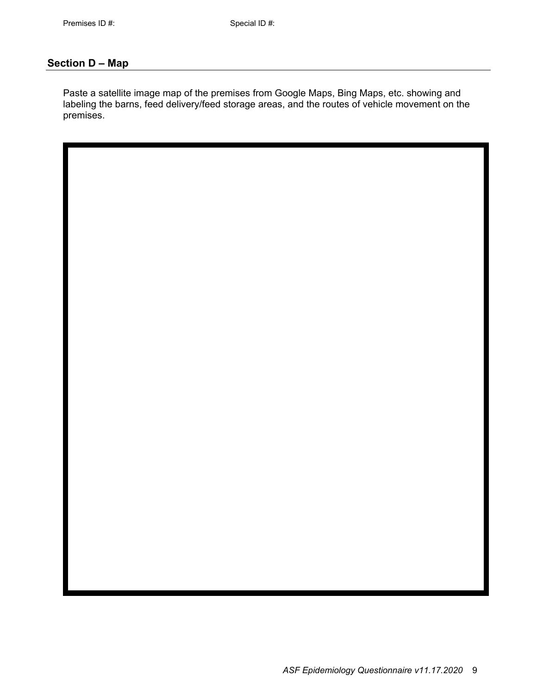## **Section D – Map**

Paste a satellite image map of the premises from Google Maps, Bing Maps, etc. showing and labeling the barns, feed delivery/feed storage areas, and the routes of vehicle movement on the premises.